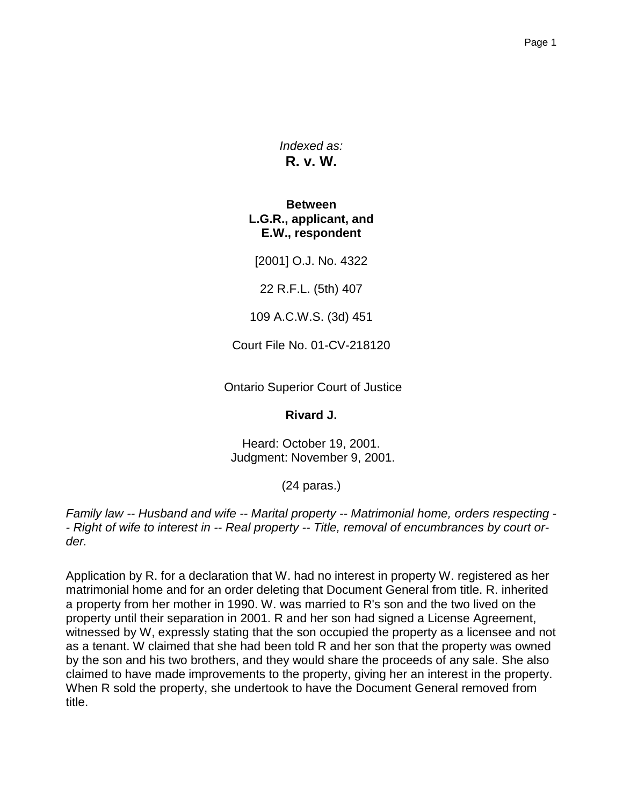*Indexed as:* **R. v. W.**

**Between L.G.R., applicant, and E.W., respondent**

[2001] O.J. No. 4322

22 R.F.L. (5th) 407

109 A.C.W.S. (3d) 451

Court File No. 01-CV-218120

Ontario Superior Court of Justice

**Rivard J.**

Heard: October 19, 2001. Judgment: November 9, 2001.

(24 paras.)

*Family law -- Husband and wife -- Marital property -- Matrimonial home, orders respecting - - Right of wife to interest in -- Real property -- Title, removal of encumbrances by court order.*

Application by R. for a declaration that W. had no interest in property W. registered as her matrimonial home and for an order deleting that Document General from title. R. inherited a property from her mother in 1990. W. was married to R's son and the two lived on the property until their separation in 2001. R and her son had signed a License Agreement, witnessed by W, expressly stating that the son occupied the property as a licensee and not as a tenant. W claimed that she had been told R and her son that the property was owned by the son and his two brothers, and they would share the proceeds of any sale. She also claimed to have made improvements to the property, giving her an interest in the property. When R sold the property, she undertook to have the Document General removed from title.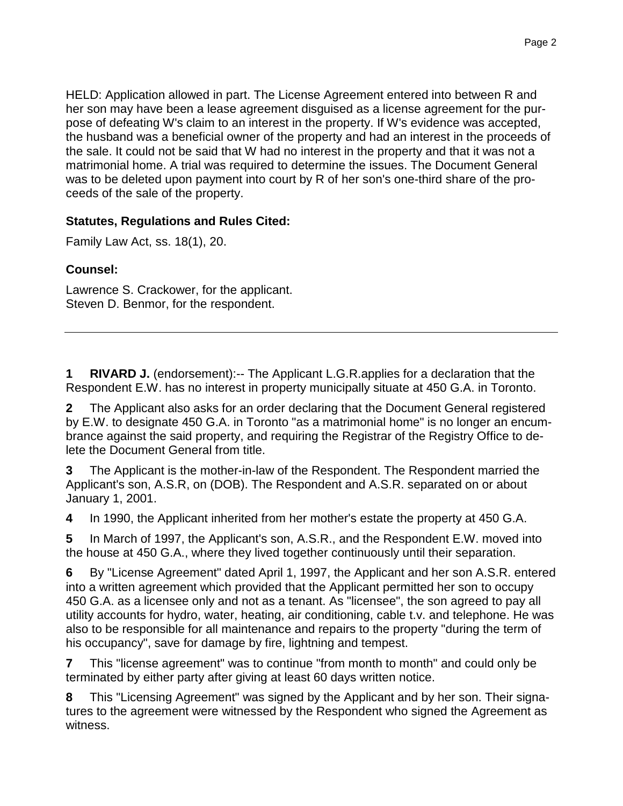HELD: Application allowed in part. The License Agreement entered into between R and her son may have been a lease agreement disguised as a license agreement for the purpose of defeating W's claim to an interest in the property. If W's evidence was accepted, the husband was a beneficial owner of the property and had an interest in the proceeds of the sale. It could not be said that W had no interest in the property and that it was not a matrimonial home. A trial was required to determine the issues. The Document General was to be deleted upon payment into court by R of her son's one-third share of the proceeds of the sale of the property.

## **Statutes, Regulations and Rules Cited:**

Family Law Act, ss. 18(1), 20.

## **Counsel:**

Lawrence S. Crackower, for the applicant. Steven D. Benmor, for the respondent.

**1 RIVARD J.** (endorsement):-- The Applicant L.G.R.applies for a declaration that the Respondent E.W. has no interest in property municipally situate at 450 G.A. in Toronto.

**2** The Applicant also asks for an order declaring that the Document General registered by E.W. to designate 450 G.A. in Toronto "as a matrimonial home" is no longer an encumbrance against the said property, and requiring the Registrar of the Registry Office to delete the Document General from title.

**3** The Applicant is the mother-in-law of the Respondent. The Respondent married the Applicant's son, A.S.R, on (DOB). The Respondent and A.S.R. separated on or about January 1, 2001.

**4** In 1990, the Applicant inherited from her mother's estate the property at 450 G.A.

**5** In March of 1997, the Applicant's son, A.S.R., and the Respondent E.W. moved into the house at 450 G.A., where they lived together continuously until their separation.

**6** By "License Agreement" dated April 1, 1997, the Applicant and her son A.S.R. entered into a written agreement which provided that the Applicant permitted her son to occupy 450 G.A. as a licensee only and not as a tenant. As "licensee", the son agreed to pay all utility accounts for hydro, water, heating, air conditioning, cable t.v. and telephone. He was also to be responsible for all maintenance and repairs to the property "during the term of his occupancy", save for damage by fire, lightning and tempest.

**7** This "license agreement" was to continue "from month to month" and could only be terminated by either party after giving at least 60 days written notice.

**8** This "Licensing Agreement" was signed by the Applicant and by her son. Their signatures to the agreement were witnessed by the Respondent who signed the Agreement as witness.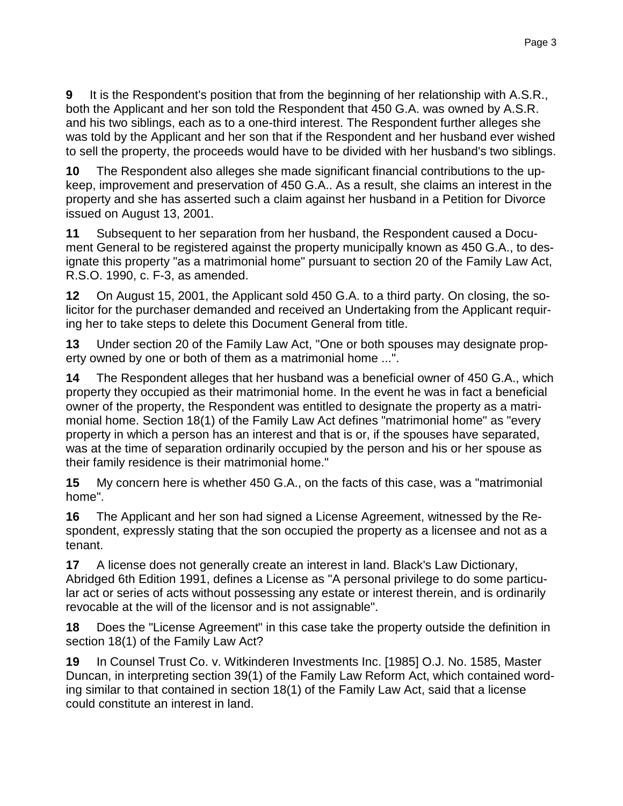**9** It is the Respondent's position that from the beginning of her relationship with A.S.R., both the Applicant and her son told the Respondent that 450 G.A. was owned by A.S.R. and his two siblings, each as to a one-third interest. The Respondent further alleges she was told by the Applicant and her son that if the Respondent and her husband ever wished to sell the property, the proceeds would have to be divided with her husband's two siblings.

**10** The Respondent also alleges she made significant financial contributions to the upkeep, improvement and preservation of 450 G.A.. As a result, she claims an interest in the property and she has asserted such a claim against her husband in a Petition for Divorce issued on August 13, 2001.

**11** Subsequent to her separation from her husband, the Respondent caused a Document General to be registered against the property municipally known as 450 G.A., to designate this property "as a matrimonial home" pursuant to section 20 of the Family Law Act, R.S.O. 1990, c. F-3, as amended.

**12** On August 15, 2001, the Applicant sold 450 G.A. to a third party. On closing, the solicitor for the purchaser demanded and received an Undertaking from the Applicant requiring her to take steps to delete this Document General from title.

**13** Under section 20 of the Family Law Act, "One or both spouses may designate property owned by one or both of them as a matrimonial home ...".

**14** The Respondent alleges that her husband was a beneficial owner of 450 G.A., which property they occupied as their matrimonial home. In the event he was in fact a beneficial owner of the property, the Respondent was entitled to designate the property as a matrimonial home. Section 18(1) of the Family Law Act defines "matrimonial home" as "every property in which a person has an interest and that is or, if the spouses have separated, was at the time of separation ordinarily occupied by the person and his or her spouse as their family residence is their matrimonial home."

**15** My concern here is whether 450 G.A., on the facts of this case, was a "matrimonial home".

**16** The Applicant and her son had signed a License Agreement, witnessed by the Respondent, expressly stating that the son occupied the property as a licensee and not as a tenant.

**17** A license does not generally create an interest in land. Black's Law Dictionary, Abridged 6th Edition 1991, defines a License as "A personal privilege to do some particular act or series of acts without possessing any estate or interest therein, and is ordinarily revocable at the will of the licensor and is not assignable".

**18** Does the "License Agreement" in this case take the property outside the definition in section 18(1) of the Family Law Act?

**19** In Counsel Trust Co. v. Witkinderen Investments Inc. [1985] O.J. No. 1585, Master Duncan, in interpreting section 39(1) of the Family Law Reform Act, which contained wording similar to that contained in section 18(1) of the Family Law Act, said that a license could constitute an interest in land.